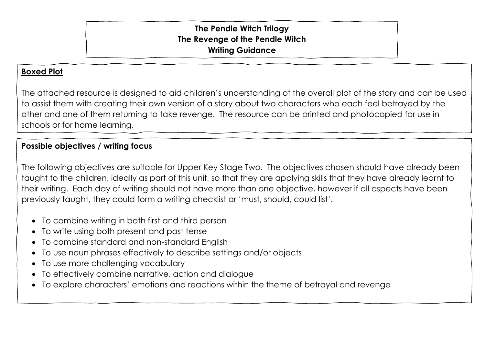## **The Pendle Witch Trilogy The Revenge of the Pendle Witch Writing Guidance**

## **Boxed Plot**

The attached resource is designed to aid children's understanding of the overall plot of the story and can be used to assist them with creating their own version of a story about two characters who each feel betrayed by the other and one of them returning to take revenge. The resource can be printed and photocopied for use in schools or for home learning.

## **Possible objectives / writing focus**

The following objectives are suitable for Upper Key Stage Two. The objectives chosen should have already been taught to the children, ideally as part of this unit, so that they are applying skills that they have already learnt to their writing. Each day of writing should not have more than one objective, however if all aspects have been previously taught, they could form a writing checklist or 'must, should, could list'.

- To combine writing in both first and third person
- To write using both present and past tense
- To combine standard and non-standard English
- To use noun phrases effectively to describe settings and/or objects
- To use more challenging vocabulary
- To effectively combine narrative, action and dialogue
- To explore characters' emotions and reactions within the theme of betrayal and revenge